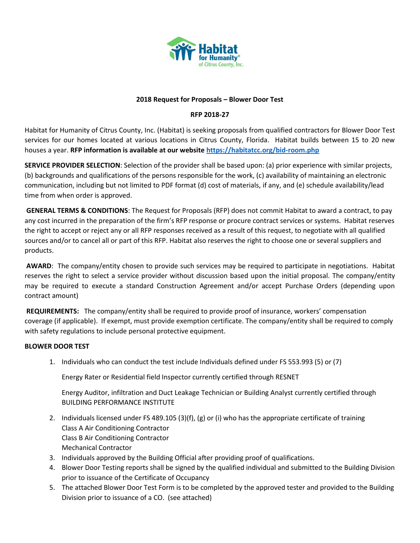

### **2018 Request for Proposals – Blower Door Test**

## **RFP 2018-27**

Habitat for Humanity of Citrus County, Inc. (Habitat) is seeking proposals from qualified contractors for Blower Door Test services for our homes located at various locations in Citrus County, Florida. Habitat builds between 15 to 20 new houses a year. **RFP information is available at our website<https://habitatcc.org/bid-room.php>**

**SERVICE PROVIDER SELECTION**: Selection of the provider shall be based upon: (a) prior experience with similar projects, (b) backgrounds and qualifications of the persons responsible for the work, (c) availability of maintaining an electronic communication, including but not limited to PDF format (d) cost of materials, if any, and (e) schedule availability/lead time from when order is approved.

**GENERAL TERMS & CONDITIONS**: The Request for Proposals (RFP) does not commit Habitat to award a contract, to pay any cost incurred in the preparation of the firm's RFP response or procure contract services or systems. Habitat reserves the right to accept or reject any or all RFP responses received as a result of this request, to negotiate with all qualified sources and/or to cancel all or part of this RFP. Habitat also reserves the right to choose one or several suppliers and products.

**AWARD**: The company/entity chosen to provide such services may be required to participate in negotiations. Habitat reserves the right to select a service provider without discussion based upon the initial proposal. The company/entity may be required to execute a standard Construction Agreement and/or accept Purchase Orders (depending upon contract amount)

**REQUIREMENTS:** The company/entity shall be required to provide proof of insurance, workers' compensation coverage (if applicable). If exempt, must provide exemption certificate. The company/entity shall be required to comply with safety regulations to include personal protective equipment.

### **BLOWER DOOR TEST**

1. Individuals who can conduct the test include Individuals defined under FS 553.993 (5) or (7)

Energy Rater or Residential field Inspector currently certified through RESNET

Energy Auditor, infiltration and Duct Leakage Technician or Building Analyst currently certified through BUILDING PERFORMANCE INSTITUTE

- 2. Individuals licensed under FS 489.105 (3)(f), (g) or (i) who has the appropriate certificate of training Class A Air Conditioning Contractor Class B Air Conditioning Contractor Mechanical Contractor
- 3. Individuals approved by the Building Official after providing proof of qualifications.
- 4. Blower Door Testing reports shall be signed by the qualified individual and submitted to the Building Division prior to issuance of the Certificate of Occupancy
- 5. The attached Blower Door Test Form is to be completed by the approved tester and provided to the Building Division prior to issuance of a CO. (see attached)